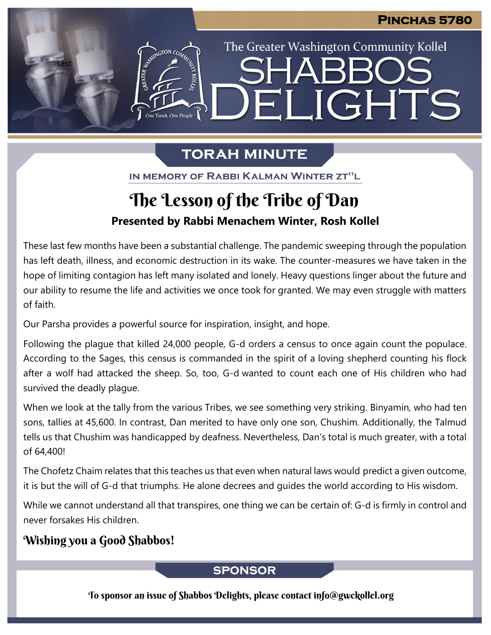The Greater Washington Community Kollel

ELIGHTS

# **TORAH MINUTE**

IN MEMORY OF RABBI KALMAN WINTER ZT"L

# **Presented by Rabbi Menachem Winter, Rosh Kollel** The Lesson of the Tribe of Dan

These last few months have been a substantial challenge. The pandemic sweeping through the population has left death, illness, and economic destruction in its wake. The counter-measures we have taken in the hope of limiting contagion has left many isolated and lonely. Heavy questions linger about the future and our ability to resume the life and activities we once took for granted. We may even struggle with matters of faith.

Our Parsha provides a powerful source for inspiration, insight, and hope.

Following the plague that killed 24,000 people, G-d orders a census to once again count the populace. According to the Sages, this census is commanded in the spirit of a loving shepherd counting his flock after a wolf had attacked the sheep. So, too, G-d wanted to count each one of His children who had survived the deadly plague.

When we look at the tally from the various Tribes, we see something very striking. Binyamin, who had ten sons, tallies at 45,600. In contrast, Dan merited to have only one son, Chushim. Additionally, the Talmud tells us that Chushim was handicapped by deafness. Nevertheless, Dan's total is much greater, with a total of 64,400!

The Chofetz Chaim relates that this teaches us that even when natural laws would predict a given outcome, it is but the will of G-d that triumphs. He alone decrees and guides the world according to His wisdom.

While we cannot understand all that transpires, one thing we can be certain of: G-d is firmly in control and never forsakes His children.

# Wishing you a Good Shabbos!

test

### **SPONSOR**

To sponsor an issue of Shabbos Delights, please contact info@gwckollel.org